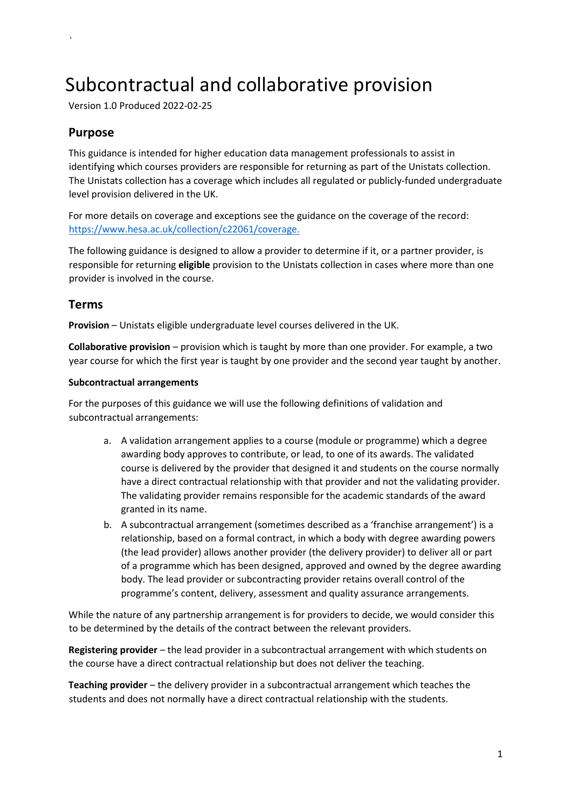# Subcontractual and collaborative provision

Version 1.0 Produced 2022-02-25

# **Purpose**

`

This guidance is intended for higher education data management professionals to assist in identifying which courses providers are responsible for returning as part of the Unistats collection. The Unistats collection has a coverage which includes all regulated or publicly-funded undergraduate level provision delivered in the UK.

For more details on coverage and exceptions see the guidance on the coverage of the record: <https://www.hesa.ac.uk/collection/c22061/coverage>[.](https://www.hesa.ac.uk/collection/c20061/coverage) 

The following guidance is designed to allow a provider to determine if it, or a partner provider, is responsible for returning **eligible** provision to the Unistats collection in cases where more than one provider is involved in the course.

## **Terms**

**Provision** – Unistats eligible undergraduate level courses delivered in the UK.

**Collaborative provision** – provision which is taught by more than one provider. For example, a two year course for which the first year is taught by one provider and the second year taught by another.

#### **Subcontractual arrangements**

For the purposes of this guidance we will use the following definitions of validation and subcontractual arrangements:

- a. A validation arrangement applies to a course (module or programme) which a degree awarding body approves to contribute, or lead, to one of its awards. The validated course is delivered by the provider that designed it and students on the course normally have a direct contractual relationship with that provider and not the validating provider. The validating provider remains responsible for the academic standards of the award granted in its name.
- b. A subcontractual arrangement (sometimes described as a 'franchise arrangement') is a relationship, based on a formal contract, in which a body with degree awarding powers (the lead provider) allows another provider (the delivery provider) to deliver all or part of a programme which has been designed, approved and owned by the degree awarding body. The lead provider or subcontracting provider retains overall control of the programme's content, delivery, assessment and quality assurance arrangements.

While the nature of any partnership arrangement is for providers to decide, we would consider this to be determined by the details of the contract between the relevant providers.

**Registering provider** – the lead provider in a subcontractual arrangement with which students on the course have a direct contractual relationship but does not deliver the teaching.

**Teaching provider** – the delivery provider in a subcontractual arrangement which teaches the students and does not normally have a direct contractual relationship with the students.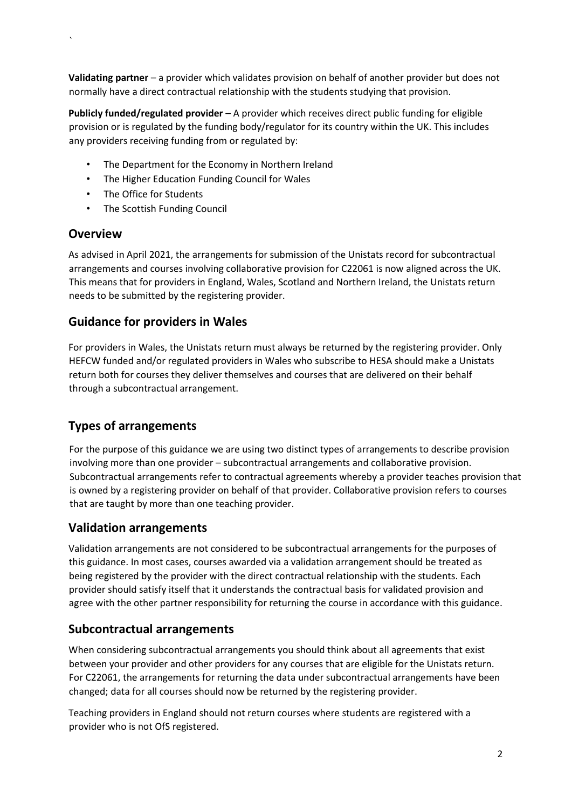**Validating partner** – a provider which validates provision on behalf of another provider but does not normally have a direct contractual relationship with the students studying that provision.

**Publicly funded/regulated provider** – A provider which receives direct public funding for eligible provision or is regulated by the funding body/regulator for its country within the UK. This includes any providers receiving funding from or regulated by:

- The Department for the Economy in Northern Ireland
- The Higher Education Funding Council for Wales
- The Office for Students
- The Scottish Funding Council

## **Overview**

`

As advised in April 2021, the arrangements for submission of the Unistats record for subcontractual arrangements and courses involving collaborative provision for C22061 is now aligned across the UK. This means that for providers in England, Wales, Scotland and Northern Ireland, the Unistats return needs to be submitted by the registering provider.

# **Guidance for providers in Wales**

For providers in Wales, the Unistats return must always be returned by the registering provider. Only HEFCW funded and/or regulated providers in Wales who subscribe to HESA should make a Unistats return both for courses they deliver themselves and courses that are delivered on their behalf through a subcontractual arrangement.

# **Types of arrangements**

For the purpose of this guidance we are using two distinct types of arrangements to describe provision involving more than one provider – subcontractual arrangements and collaborative provision. Subcontractual arrangements refer to contractual agreements whereby a provider teaches provision that is owned by a registering provider on behalf of that provider. Collaborative provision refers to courses that are taught by more than one teaching provider.

# **Validation arrangements**

Validation arrangements are not considered to be subcontractual arrangements for the purposes of this guidance. In most cases, courses awarded via a validation arrangement should be treated as being registered by the provider with the direct contractual relationship with the students. Each provider should satisfy itself that it understands the contractual basis for validated provision and agree with the other partner responsibility for returning the course in accordance with this guidance.

# **Subcontractual arrangements**

When considering subcontractual arrangements you should think about all agreements that exist between your provider and other providers for any courses that are eligible for the Unistats return. For C22061, the arrangements for returning the data under subcontractual arrangements have been changed; data for all courses should now be returned by the registering provider.

Teaching providers in England should not return courses where students are registered with a provider who is not OfS registered.